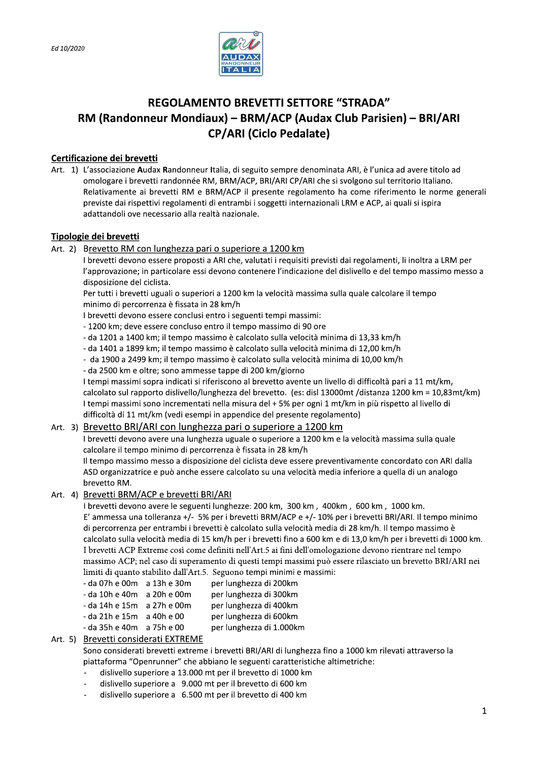

# **REGOLAMENTO BREVETTI SETTORE "STRADA"** RM (Randonneur Mondiaux) - BRM/ACP (Audax Club Parisien) - BRI/ARI **CP/ARI (Ciclo Pedalate)**

# Certificazione dei brevetti

Art. 1) L'associazione Audax Randonneur Italia, di seguito sempre denominata ARI, è l'unica ad avere titolo ad omologare i brevetti randonnée RM, BRM/ACP, BRI/ARI CP/ARI che si svolgono sul territorio Italiano. Relativamente ai brevetti RM e BRM/ACP il presente regolamento ha come riferimento le norme generali previste dai rispettivi regolamenti di entrambi i soggetti internazionali LRM e ACP, ai quali si ispira adattandoli ove necessario alla realtà nazionale.

# Tipologie dei brevetti

### Art. 2) Brevetto RM con lunghezza pari o superiore a 1200 km

I brevetti devono essere proposti a ARI che, valutati i requisiti previsti dai regolamenti, li inoltra a LRM per l'approvazione; in particolare essi devono contenere l'indicazione del dislivello e del tempo massimo messo a disposizione del ciclista.

Per tutti i brevetti uguali o superiori a 1200 km la velocità massima sulla quale calcolare il tempo minimo di percorrenza è fissata in 28 km/h

- I brevetti devono essere conclusi entro i seguenti tempi massimi:
- 1200 km; deve essere concluso entro il tempo massimo di 90 ore
- da 1201 a 1400 km; il tempo massimo è calcolato sulla velocità minima di 13,33 km/h
- da 1401 a 1899 km; il tempo massimo è calcolato sulla velocità minima di 12,00 km/h
- da 1900 a 2499 km; il tempo massimo è calcolato sulla velocità minima di 10,00 km/h

- da 2500 km e oltre; sono ammesse tappe di 200 km/giorno

I tempi massimi sopra indicati si riferiscono al brevetto avente un livello di difficoltà pari a 11 mt/km, calcolato sul rapporto dislivello/lunghezza del brevetto. (es: disl 13000mt /distanza 1200 km = 10,83mt/km) I tempi massimi sono incrementati nella misura del + 5% per ogni 1 mt/km in più rispetto al livello di difficoltà di 11 mt/km (vedi esempi in appendice del presente regolamento)

### Art. 3) Brevetto BRI/ARI con lunghezza pari o superiore a 1200 km

I brevetti devono avere una lunghezza uguale o superiore a 1200 km e la velocità massima sulla quale calcolare il tempo minimo di percorrenza è fissata in 28 km/h

Il tempo massimo messo a disposizione del ciclista deve essere preventivamente concordato con ARI dalla ASD organizzatrice e può anche essere calcolato su una velocità media inferiore a quella di un analogo brevetto RM.

### Art. 4) Brevetti BRM/ACP e brevetti BRI/ARI

I brevetti devono avere le seguenti lunghezze: 200 km, 300 km, 400km, 600 km, 1000 km. E' ammessa una tolleranza +/- 5% per i brevetti BRM/ACP e +/- 10% per i brevetti BRI/ARI. Il tempo minimo di percorrenza per entrambi i brevetti è calcolato sulla velocità media di 28 km/h. Il tempo massimo è calcolato sulla velocità media di 15 km/h per i brevetti fino a 600 km e di 13,0 km/h per i brevetti di 1000 km. I brevetti ACP Extreme così come definiti nell'Art.5 ai fini dell'omologazione devono rientrare nel tempo massimo ACP; nel caso di superamento di questi tempi massimi può essere rilasciato un brevetto BRI/ARI nei limiti di quanto stabilito dall'Art.5. Seguono tempi minimi e massimi:

- da 07h e 00m a 13h e 30m per lunghezza di 200km - da 10h e 40m a 20h e 00m per lunghezza di 300km - da 14h e 15m a 27h e 00m per lunghezza di 400km - da 21h e 15m a 40h e 00 per lunghezza di 600km - da 35h e 40m a 75h e 00 per lunghezza di 1.000km

### Art. 5) Brevetti considerati EXTREME

Sono considerati brevetti extreme i brevetti BRI/ARI di lunghezza fino a 1000 km rilevati attraverso la piattaforma "Openrunner" che abbiano le seguenti caratteristiche altimetriche:

- dislivello superiore a 13.000 mt per il brevetto di 1000 km
- dislivello superiore a 9.000 mt per il brevetto di 600 km
- dislivello superiore a 6.500 mt per il brevetto di 400 km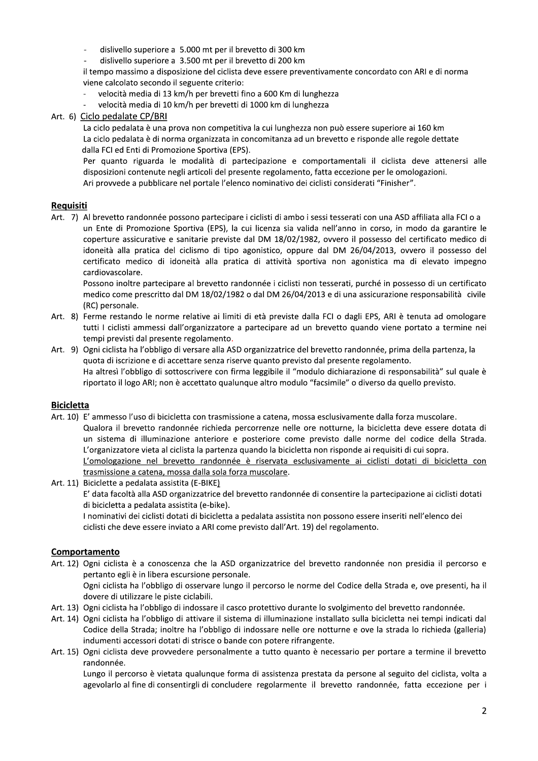- distivello superiore a 15.000 mt per il brevetto di 300 km.
- distivello superiore a 3.500 mt per il brevetto di 200 km.

il tempo massimo a disposizione del ciclista deve essere preventivamente concordato con ARI e di norma viene calcolato secondo il seguente criterio:

- velocita media di 13 km/h per brevetti fino a 600 km di lunghezza
- velocita media di 10 km/h per brevetti di 1000 km di lunghezza

dislivello superiore a 5.000 mt per il bre<br>
dislivello superiore a 3.500 mt per il bre<br>
il tempo massimo a disposizione del ciclista<br>
viene calcolato secondo il seguente criterio:<br>
- velocità media di 13 km/h per brevetti na prova non competitiva la cui lunghezza non puo essere superiore al 160 km  $\,$ La ciclo pedalata e di norma organizzata in concomitanza ad un brevetto e risponde alle regole dettate

anto riguarda le modalita di partecipazione e comportamentali il ciclista deve attenersi alle disposizioni contenute negli articoli del presente regolamento, fatta eccezione per le omologazioni. Ari provvede a pubblicare nel portale l'elenco nominativo dei ciclisti considerati "Finisher".

### Requisiti

il tempo massimo a disposizione del ciclista deve essere preventiva<br>
viene calcolato secondo il seguente criterio:<br>
velocità media di 13 km/h per brevetti fino a 600 Km di lunghezza<br>
- velocità media di 10 km/h per brevett Art. /) Al brevetto randonnee possono partecipare i ciclisti di ambo i sessi tesserati con una ASD affiliata alla FCI o a un Ente di Promozione Sportiva (EPS), la cui licenza sia valida nell'anno in corso, in modo da garantire le coperture assicurative e sanitarie previste dal DM 18/02/1982, ovvero il possesso del certificato medico di idoneita alla pratica del ciclismo di tipo agonistico, oppure dal DM 26/04/2013, ovvero il possesso del certificato medico di idoneità alla pratica di attività sportiva non agonistica ma di elevato impegno<br>cardiovascolare. **Requisiti**<br>
Art. 7) Al brevetto randonnée possono partecipare i ciclisti di ambo i sessi tesserati como ante di Promozione Sportiva (EPS), la cui licenza sia valida nell'anno in coperture assicurative e sanitarie previste From the Universidative e sanitarie previste dal DM 18/02/1982, overo il possesso del certificato me<br>coperture assicurative e sanitarie previste dal DM 18/02/1982, ovvero il possesso del certificato me<br>idoneità alla pratic

rche in possesso di un certificato medico come prescritto dal DM 18/02/1982 o dal DM 26/04/2013 e di una assicurazione responsabilita civile

- Art. 8) Ferme restando le norme relative ai limiti di età previste dalla FCI o dagli EPS, ARI è tenuta ad omologare tutti I ciclisti ammessi dall'organizzatore a partecipare ad un brevetto quando viene portato a termine nei tempi previsti dal presente regolamento.
- Art. 9) Ogni ciclista ha l'obbligo di versare alla ASD organizzatrice del brevetto randonnée, prima della partenza, la quota di iscrizione e di accettare senza riserve quanto previsto dal presente regolamento. Ha altresì l'obbligo di sottoscrivere con firma leggibile il "modulo dichiarazione di responsabilità" sul quale è riportato il logo ARI; non è accettato qualunque altro modulo "facsimile" o diverso da quello previsto.

### Bicicletta

- Art. 10) E' ammesso l'uso di bicicletta con trasmissione a catena, mossa esclusivamente dalla forza muscolare. Qualora il brevetto randonnee richieda percorrenze nelle ore notturne, la bicicletta deve essere dotata di un sistema di illuminazione anteriore e posteriore come previsto dalle norme del codice della Strada. L'organizzatore vieta al ciclista la partenza quando la bicicletta non risponde ai requisiti di cui sopra. <u>L'omologazione nel brevetto randonnee e riservata esclusivamente al ciclisti dotati di bicicletta con</u> <u>trasmissione a catena, mossa dalla sola forza muscolare</u>.
- Art. II) Biciclette a pedalata assistita (E-BIKE<u>)</u>

E' data facoltà alla ASD organizzatrice del brevetto randonnée di consentire la partecipazione ai ciclisti dotati di bicicletta a pedalata assistita (e-bike).

I nominativi dei ciclisti dotati di bicicletta a pedalata assistita non possono essere inseriti nell'elenco dei ciclisti che deve essere inviato a ARI come previsto dall'Art. 19) del regolamento.

### Comportamento

Art. 12) Ogni ciclista è a conoscenza che la ASD organizzatrice del brevetto randonnée non presidia il percorso e pertanto egli e in libera escursione personale.

Ogni ciclista ha l'obbligo di osservare lungo il percorso le norme del Codice della Strada e, ove presenti, ha il dovere di utilizzare le piste ciclabili.

- Art. 13) Ogni ciclista ha l'obbligo di indossare il casco protettivo durante lo svolgimento del brevetto randonnée.
- Art. 14) Ogni ciclista ha l'obbligo di attivare il sistema di illuminazione installato sulla bicicletta nei tempi indicati dal Codice della Strada; inoltre ha l'obbligo di indossare nelle ore notturne e ove la strada lo richieda (galleria) indumenti accessori dotati di strisce o bande con potere rifrangente.
- Art. 15) Ogni ciclista deve provvedere personalmente a tutto quanto e necessario per portare a termine il brevetto randonnée.

Lungo il percorso e vietata qualunque forma di assistenza prestata da persone al seguito del ciclista, volta a agevolario al fine di consentirgli di concludere regolarmente il brevetto randonnee, fatta eccezione per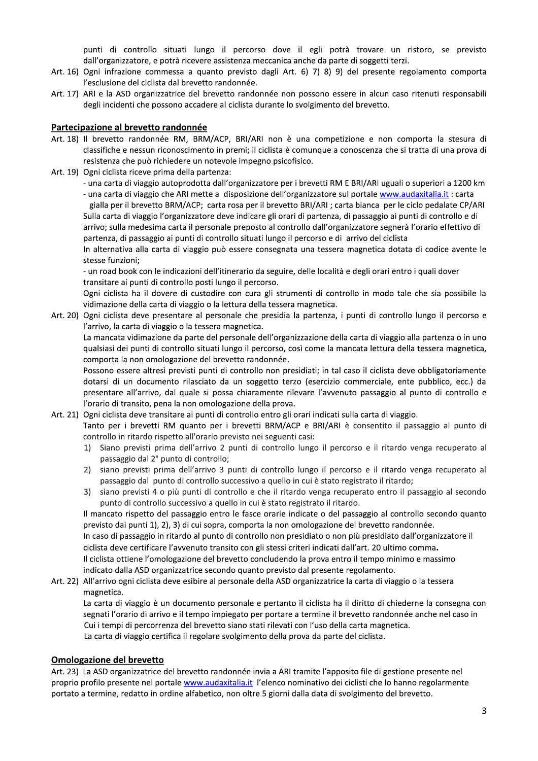punti di controllo situati lungo il percorso dove il egli potrà trovare un ristoro, se previsto dall'organizzatore, e potrà ricevere assistenza meccanica anche da parte di soggetti terzi.

- Art. 16) Ogni infrazione commessa a quanto previsto dagli Art. 6) 7) 8) 9) del presente regolamento comporta l'esclusione del ciclista dal brevetto randonnée.
- Art. 17) ARI e la ASD organizzatrice del brevetto randonnée non possono essere in alcun caso ritenuti responsabili degli incidenti che possono accadere al ciclista durante lo svolgimento del brevetto.

#### Partecipazione al brevetto randonnée

- Art. 18) Il brevetto randonnée RM, BRM/ACP, BRI/ARI non è una competizione e non comporta la stesura di classifiche e nessun riconoscimento in premi; il ciclista è comunque a conoscenza che si tratta di una prova di resistenza che può richiedere un notevole impegno psicofisico.
- Art. 19) Ogni ciclista riceve prima della partenza:
	- una carta di viaggio autoprodotta dall'organizzatore per i brevetti RM E BRI/ARI uguali o superiori a 1200 km - una carta di viaggio che ARI mette a disposizione dell'organizzatore sul portale www.audaxitalia.it : carta gialla per il brevetto BRM/ACP; carta rosa per il brevetto BRI/ARI; carta bianca per le ciclo pedalate CP/ARI Sulla carta di viaggio l'organizzatore deve indicare gli orari di partenza, di passaggio ai punti di controllo e di

arrivo; sulla medesima carta il personale preposto al controllo dall'organizzatore segnerà l'orario effettivo di partenza, di passaggio ai punti di controllo situati lungo il percorso e di arrivo del ciclista

In alternativa alla carta di viaggio può essere consegnata una tessera magnetica dotata di codice avente le stesse funzioni;

- un road book con le indicazioni dell'itinerario da seguire, delle località e degli orari entro i quali dover transitare ai punti di controllo posti lungo il percorso.

Ogni ciclista ha il dovere di custodire con cura gli strumenti di controllo in modo tale che sia possibile la vidimazione della carta di viaggio o la lettura della tessera magnetica.

Art. 20) Ogni ciclista deve presentare al personale che presidia la partenza, i punti di controllo lungo il percorso e l'arrivo, la carta di viaggio o la tessera magnetica.

La mancata vidimazione da parte del personale dell'organizzazione della carta di viaggio alla partenza o in uno qualsiasi dei punti di controllo situati lungo il percorso, così come la mancata lettura della tessera magnetica, comporta la non omologazione del brevetto randonnée.

Possono essere altresì previsti punti di controllo non presidiati; in tal caso il ciclista deve obbligatoriamente dotarsi di un documento rilasciato da un soggetto terzo (esercizio commerciale, ente pubblico, ecc.) da presentare all'arrivo, dal quale si possa chiaramente rilevare l'avvenuto passaggio al punto di controllo e l'orario di transito, pena la non omologazione della prova.

#### Art. 21) Ogni ciclista deve transitare ai punti di controllo entro gli orari indicati sulla carta di viaggio.

Tanto per i brevetti RM quanto per i brevetti BRM/ACP e BRI/ARI è consentito il passaggio al punto di controllo in ritardo rispetto all'orario previsto nei seguenti casi:

- 1) Siano previsti prima dell'arrivo 2 punti di controllo lungo il percorso e il ritardo venga recuperato al passaggio dal 2° punto di controllo;
- 2) siano previsti prima dell'arrivo 3 punti di controllo lungo il percorso e il ritardo venga recuperato al passaggio dal punto di controllo successivo a quello in cui è stato registrato il ritardo;
- $3)$ siano previsti 4 o più punti di controllo e che il ritardo venga recuperato entro il passaggio al secondo punto di controllo successivo a quello in cui è stato registrato il ritardo.

Il mancato rispetto del passaggio entro le fasce orarie indicate o del passaggio al controllo secondo quanto previsto dai punti 1), 2), 3) di cui sopra, comporta la non omologazione del brevetto randonnée.

In caso di passaggio in ritardo al punto di controllo non presidiato o non più presidiato dall'organizzatore il ciclista deve certificare l'avvenuto transito con gli stessi criteri indicati dall'art. 20 ultimo comma.

Il ciclista ottiene l'omologazione del brevetto concludendo la prova entro il tempo minimo e massimo indicato dalla ASD organizzatrice secondo quanto previsto dal presente regolamento.

Art. 22) All'arrivo ogni ciclista deve esibire al personale della ASD organizzatrice la carta di viaggio o la tessera magnetica.

La carta di viaggio è un documento personale e pertanto il ciclista ha il diritto di chiederne la consegna con segnati l'orario di arrivo e il tempo impiegato per portare a termine il brevetto randonnée anche nel caso in Cui i tempi di percorrenza del brevetto siano stati rilevati con l'uso della carta magnetica. La carta di viaggio certifica il regolare svolgimento della prova da parte del ciclista.

#### **Omologazione del brevetto**

Art. 23) La ASD organizzatrice del brevetto randonnée invia a ARI tramite l'apposito file di gestione presente nel proprio profilo presente nel portale www.audaxitalia.it l'elenco nominativo dei ciclisti che lo hanno regolarmente portato a termine, redatto in ordine alfabetico, non oltre 5 giorni dalla data di svolgimento del brevetto.